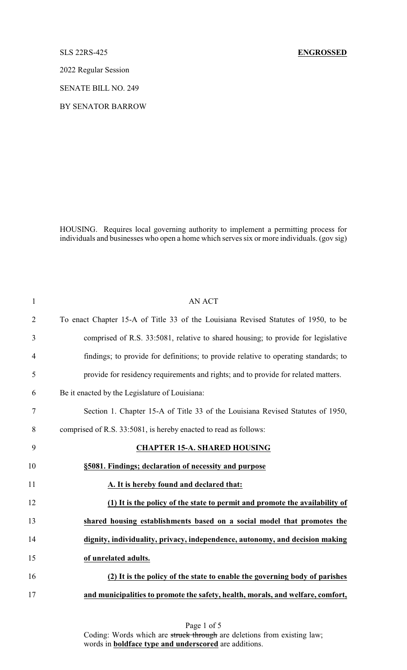## SLS 22RS-425 **ENGROSSED**

2022 Regular Session

SENATE BILL NO. 249

BY SENATOR BARROW

HOUSING. Requires local governing authority to implement a permitting process for individuals and businesses who open a home which serves six or more individuals. (gov sig)

| $\mathbf{1}$   | <b>AN ACT</b>                                                                        |
|----------------|--------------------------------------------------------------------------------------|
| $\overline{2}$ | To enact Chapter 15-A of Title 33 of the Louisiana Revised Statutes of 1950, to be   |
| 3              | comprised of R.S. 33:5081, relative to shared housing; to provide for legislative    |
| $\overline{4}$ | findings; to provide for definitions; to provide relative to operating standards; to |
| 5              | provide for residency requirements and rights; and to provide for related matters.   |
| 6              | Be it enacted by the Legislature of Louisiana:                                       |
| 7              | Section 1. Chapter 15-A of Title 33 of the Louisiana Revised Statutes of 1950,       |
| 8              | comprised of R.S. 33:5081, is hereby enacted to read as follows:                     |
| 9              | <b>CHAPTER 15-A. SHARED HOUSING</b>                                                  |
| 10             | §5081. Findings; declaration of necessity and purpose                                |
| 11             | A. It is hereby found and declared that:                                             |
| 12             | (1) It is the policy of the state to permit and promote the availability of          |
| 13             | shared housing establishments based on a social model that promotes the              |
| 14             | dignity, individuality, privacy, independence, autonomy, and decision making         |
| 15             | of unrelated adults.                                                                 |
| 16             | (2) It is the policy of the state to enable the governing body of parishes           |
| 17             | and municipalities to promote the safety, health, morals, and welfare, comfort,      |

Page 1 of 5 Coding: Words which are struck through are deletions from existing law; words in **boldface type and underscored** are additions.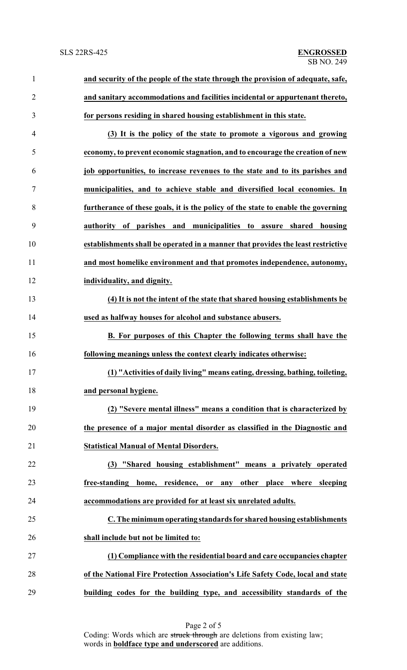| $\mathbf{1}$   | and security of the people of the state through the provision of adequate, safe,  |
|----------------|-----------------------------------------------------------------------------------|
| $\overline{2}$ | and sanitary accommodations and facilities incidental or appurtenant thereto,     |
| 3              | for persons residing in shared housing establishment in this state.               |
| 4              | (3) It is the policy of the state to promote a vigorous and growing               |
| 5              | economy, to prevent economic stagnation, and to encourage the creation of new     |
| 6              | job opportunities, to increase revenues to the state and to its parishes and      |
| $\tau$         | municipalities, and to achieve stable and diversified local economies. In         |
| 8              | furtherance of these goals, it is the policy of the state to enable the governing |
| 9              | authority of parishes and municipalities to assure shared housing                 |
| 10             | establishments shall be operated in a manner that provides the least restrictive  |
| 11             | and most homelike environment and that promotes independence, autonomy,           |
| 12             | individuality, and dignity.                                                       |
| 13             | (4) It is not the intent of the state that shared housing establishments be       |
| 14             | used as halfway houses for alcohol and substance abusers.                         |
| 15             | B. For purposes of this Chapter the following terms shall have the                |
| 16             | following meanings unless the context clearly indicates otherwise:                |
| 17             | (1) "Activities of daily living" means eating, dressing, bathing, toileting,      |
| 18             | and personal hygiene.                                                             |
| 19             | (2) "Severe mental illness" means a condition that is characterized by            |
| 20             | the presence of a major mental disorder as classified in the Diagnostic and       |
| 21             | <b>Statistical Manual of Mental Disorders.</b>                                    |
| 22             | (3) "Shared housing establishment" means a privately operated                     |
| 23             | free-standing home, residence, or any other place where sleeping                  |
| 24             | accommodations are provided for at least six unrelated adults.                    |
| 25             | C. The minimum operating standards for shared housing establishments              |
| 26             | shall include but not be limited to:                                              |
| 27             | (1) Compliance with the residential board and care occupancies chapter            |
| 28             | of the National Fire Protection Association's Life Safety Code, local and state   |
| 29             | building codes for the building type, and accessibility standards of the          |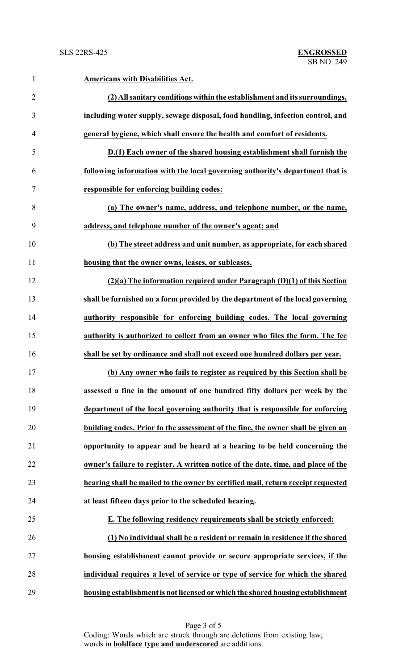| $\mathbf{1}$   | <b>Americans with Disabilities Act.</b>                                           |
|----------------|-----------------------------------------------------------------------------------|
| $\overline{2}$ | (2) All sanitary conditions within the establishment and its surroundings,        |
| 3              | including water supply, sewage disposal, food handling, infection control, and    |
| 4              | general hygiene, which shall ensure the health and comfort of residents.          |
| 5              | D.(1) Each owner of the shared housing establishment shall furnish the            |
| 6              | following information with the local governing authority's department that is     |
| 7              | responsible for enforcing building codes:                                         |
| 8              | (a) The owner's name, address, and telephone number, or the name,                 |
| 9              | address, and telephone number of the owner's agent; and                           |
| 10             | (b) The street address and unit number, as appropriate, for each shared           |
| 11             | housing that the owner owns, leases, or subleases.                                |
| 12             | $(2)(a)$ The information required under Paragraph $(D)(1)$ of this Section        |
| 13             | shall be furnished on a form provided by the department of the local governing    |
| 14             | authority responsible for enforcing building codes. The local governing           |
| 15             | authority is authorized to collect from an owner who files the form. The fee      |
| 16             | shall be set by ordinance and shall not exceed one hundred dollars per year.      |
| 17             | (b) Any owner who fails to register as required by this Section shall be          |
| 18             | assessed a fine in the amount of one hundred fifty dollars per week by the        |
| 19             | department of the local governing authority that is responsible for enforcing     |
| 20             | building codes. Prior to the assessment of the fine, the owner shall be given an  |
| 21             | opportunity to appear and be heard at a hearing to be held concerning the         |
| 22             | owner's failure to register. A written notice of the date, time, and place of the |
| 23             | hearing shall be mailed to the owner by certified mail, return receipt requested  |
| 24             | at least fifteen days prior to the scheduled hearing.                             |
| 25             | E. The following residency requirements shall be strictly enforced:               |
| 26             | (1) No individual shall be a resident or remain in residence if the shared        |
| 27             | housing establishment cannot provide or secure appropriate services, if the       |
| 28             | individual requires a level of service or type of service for which the shared    |
| 29             | housing establishment is not licensed or which the shared housing establishment   |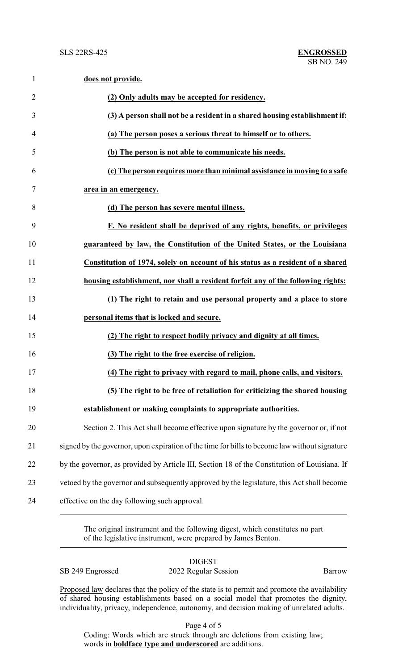| $\mathbf{1}$   | does not provide.                                                                             |
|----------------|-----------------------------------------------------------------------------------------------|
| $\overline{2}$ | (2) Only adults may be accepted for residency.                                                |
| 3              | (3) A person shall not be a resident in a shared housing establishment if:                    |
| 4              | (a) The person poses a serious threat to himself or to others.                                |
| 5              | (b) The person is not able to communicate his needs.                                          |
| 6              | (c) The person requires more than minimal assistance in moving to a safe                      |
| 7              | area in an emergency.                                                                         |
| 8              | (d) The person has severe mental illness.                                                     |
| 9              | F. No resident shall be deprived of any rights, benefits, or privileges                       |
| 10             | guaranteed by law, the Constitution of the United States, or the Louisiana                    |
| 11             | Constitution of 1974, solely on account of his status as a resident of a shared               |
| 12             | housing establishment, nor shall a resident forfeit any of the following rights:              |
| 13             | (1) The right to retain and use personal property and a place to store                        |
| 14             | personal items that is locked and secure.                                                     |
| 15             | (2) The right to respect bodily privacy and dignity at all times.                             |
| 16             | (3) The right to the free exercise of religion.                                               |
| 17             | (4) The right to privacy with regard to mail, phone calls, and visitors.                      |
| 18             | (5) The right to be free of retaliation for criticizing the shared housing                    |
| 19             | establishment or making complaints to appropriate authorities.                                |
| 20             | Section 2. This Act shall become effective upon signature by the governor or, if not          |
| 21             | signed by the governor, upon expiration of the time for bills to become law without signature |
| 22             | by the governor, as provided by Article III, Section 18 of the Constitution of Louisiana. If  |
| 23             | vetoed by the governor and subsequently approved by the legislature, this Act shall become    |
| 24             | effective on the day following such approval.                                                 |

The original instrument and the following digest, which constitutes no part of the legislative instrument, were prepared by James Benton.

| , ,<br>и<br>٦.,<br>U<br>ı |
|---------------------------|
|---------------------------|

SB 249 Engrossed 2022 Regular Session Barrow

Proposed law declares that the policy of the state is to permit and promote the availability of shared housing establishments based on a social model that promotes the dignity, individuality, privacy, independence, autonomy, and decision making of unrelated adults.

Page 4 of 5

Coding: Words which are struck through are deletions from existing law; words in **boldface type and underscored** are additions.